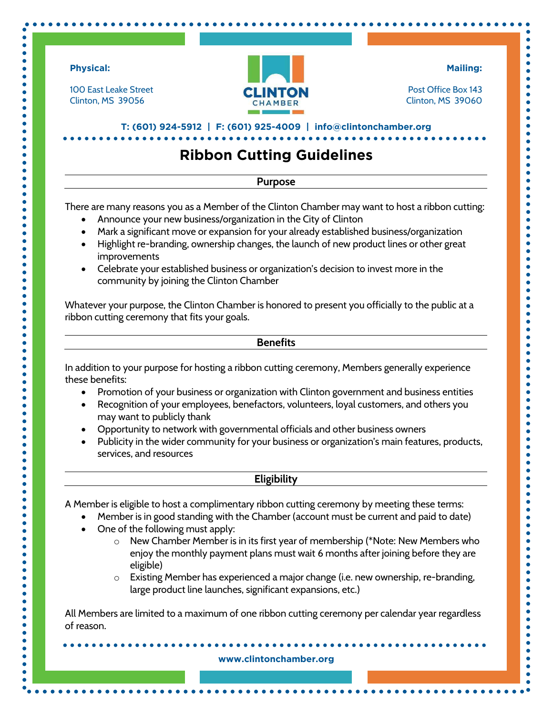

 $\bullet$ 

 $\bullet$ 

 $\bullet$ 

 $\bullet$ 

 $\bullet$ 

 $\bullet$ 

 $\bullet$ 

 $\bullet$ 

 $\bullet$ 

 $\bullet$ 

 $\bullet$  $\bullet$ 

 $\bullet$ 

 $\bullet$ 

 $\bullet$ 

 $\bullet$ 

 $\bullet$ 

 $\bullet$  $\bullet$ 

 $\bullet$ 

 $\bullet$  $\bullet$  $\bullet$ 

 $\bullet$  $\bullet$ 

 $\bullet$ 

 $\bullet$  $\bullet$  $\bullet$  $\bullet$ 

 $\bullet$  $\bullet$  $\bullet$ 

 $\bullet$  $\bullet$ 

 $\bullet$ 

 $\bullet$  $\bullet$ 

 $\bullet$ 

 $\bullet$  $\bullet$ 

 $\bullet$  $\bullet$ 

 $\bullet$  $\bullet$  $\bullet$ 

 $\bullet$ 

 $\bullet$  $\bullet$  $\bullet$ 

 $\bullet$  $\bullet$ 

 $\bullet$  $\bullet$  $\bullet$  $\bullet$  $\bullet$ 

 $\bullet$  $\bullet$  $\bullet$ 

 $\bullet$ 

 $\bullet$  $\bullet$ 

 $\bullet$  $\bullet$ 

 $\bullet$ 

 $\bullet$ 

 $\bullet$ 

 $\bullet$ 

 $\bullet$  $\bullet$  100 East Leake Street Clinton, MS 39056



**Mailing:** 

 $\bullet$ 

 $\bullet$  $\bullet$  $\bullet$ 

Ċ

 $\bullet$ 

 $\bullet$ 

 $\bullet$ 

 $\bullet$ 

 $\bullet$ 

 $\bullet$  $\bullet$ 

 $\bullet$ 

 $\bullet$  $\bullet$ 

 $\bullet$ 

¢

¢

 $\bullet$ 

Ō

Ŏ

Ŏ

 $\bullet$ ò

ò

 $\bullet$ 

 $\bullet$ 

ò

Ò

 $\bullet$ 

ò

ò

¢

ò

Ċ

 $\bullet$ 

 $\bullet$ 

ò

ò

¢

ò

 $\bullet$ 

¢

 $\bullet$ 

 $\bullet$ 

 $\bullet$ 

 $\bullet$ 

 $\bullet$ 

Post Office Box 143 Clinton, MS 39060

**T: (601) 924-5912 | F: (601) 925-4009 | info@clintonchamber.org** 

# **Ribbon Cutting Guidelines**

## **Purpose**

There are many reasons you as a Member of the Clinton Chamber may want to host a ribbon cutting:

- Announce your new business/organization in the City of Clinton
- Mark a significant move or expansion for your already established business/organization
- Highlight re-branding, ownership changes, the launch of new product lines or other great improvements
- Celebrate your established business or organization's decision to invest more in the community by joining the Clinton Chamber

Whatever your purpose, the Clinton Chamber is honored to present you officially to the public at a ribbon cutting ceremony that fits your goals.

#### **Benefits**

In addition to your purpose for hosting a ribbon cutting ceremony, Members generally experience these benefits:

- Promotion of your business or organization with Clinton government and business entities
- Recognition of your employees, benefactors, volunteers, loyal customers, and others you may want to publicly thank
- Opportunity to network with governmental officials and other business owners
- Publicity in the wider community for your business or organization's main features, products, services, and resources

# **Eligibility**

A Member is eligible to host a complimentary ribbon cutting ceremony by meeting these terms:

- Member is in good standing with the Chamber (account must be current and paid to date)
- One of the following must apply:
	- $\circ$  New Chamber Member is in its first year of membership (\*Note: New Members who enjoy the monthly payment plans must wait 6 months after joining before they are eligible)
	- $\circ$  Existing Member has experienced a major change (i.e. new ownership, re-branding, large product line launches, significant expansions, etc.)

All Members are limited to a maximum of one ribbon cutting ceremony per calendar year regardless of reason.

#### **www.clintonchamber.org**